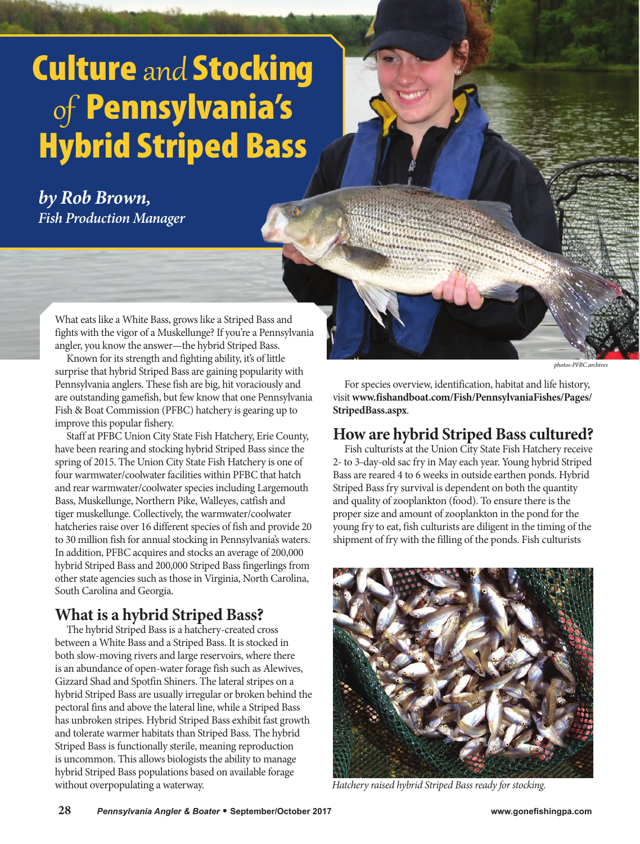# Culture and Stocking of Pennsylvania's Hybrid Striped Bass

*by Rob Brown, Fish Production Manager* 

> What eats like a White Bass, grows like a Striped Bass and fights with the vigor of a Muskellunge? If you're a Pennsylvania angler, you know the answer—the hybrid Striped Bass.

> Known for its strength and fighting ability, it's of little surprise that hybrid Striped Bass are gaining popularity with Pennsylvania anglers. These fish are big, hit voraciously and are outstanding gamefish, but few know that one Pennsylvania Fish & Boat Commission (PFBC) hatchery is gearing up to improve this popular fishery.

> Staff at PFBC Union City State Fish Hatchery, Erie County, have been rearing and stocking hybrid Striped Bass since the spring of 2015. The Union City State Fish Hatchery is one of four warmwater/coolwater facilities within PFBC that hatch and rear warmwater/coolwater species including Largemouth Bass, Muskellunge, Northern Pike, Walleyes, catfish and tiger muskellunge. Collectively, the warmwater/coolwater hatcheries raise over 16 different species of fish and provide 20 to 30 million fish for annual stocking in Pennsylvania's waters. In addition, PFBC acquires and stocks an average of 200,000 hybrid Striped Bass and 200,000 Striped Bass fingerlings from other state agencies such as those in Virginia, North Carolina, South Carolina and Georgia.

# **What is a hybrid Striped Bass?**

The hybrid Striped Bass is a hatchery-created cross between a White Bass and a Striped Bass. It is stocked in both slow-moving rivers and large reservoirs, where there is an abundance of open-water forage fish such as Alewives, Gizzard Shad and Spotfin Shiners. The lateral stripes on a hybrid Striped Bass are usually irregular or broken behind the pectoral fins and above the lateral line, while a Striped Bass has unbroken stripes. Hybrid Striped Bass exhibit fast growth and tolerate warmer habitats than Striped Bass. The hybrid Striped Bass is functionally sterile, meaning reproduction is uncommon. This allows biologists the ability to manage hybrid Striped Bass populations based on available forage without overpopulating a waterway.

*photos-PFBC archives*

For species overview, identification, habitat and life history, visit **www.fishandboat.com/Fish/PennsylvaniaFishes/Pages/ StripedBass.aspx**.

#### **How are hybrid Striped Bass cultured?**

Fish culturists at the Union City State Fish Hatchery receive 2- to 3-day-old sac fry in May each year. Young hybrid Striped Bass are reared 4 to 6 weeks in outside earthen ponds. Hybrid Striped Bass fry survival is dependent on both the quantity and quality of zooplankton (food). To ensure there is the proper size and amount of zooplankton in the pond for the young fry to eat, fish culturists are diligent in the timing of the shipment of fry with the filling of the ponds. Fish culturists



*Hatchery raised hybrid Striped Bass ready for stocking.*